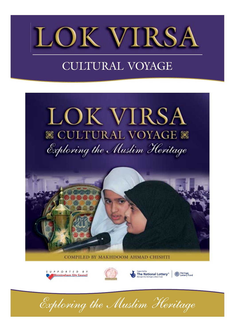

#### CULTURAL VOYAGE









*Exploring the Muslim Heritage*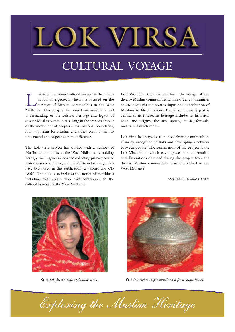#### CULTURAL VOYAGE

ok Virsa, meaning 'cultural voyage' is the culmination of a project, which has focused on the West<br>heritage of Muslim communities in the West<br>Midlands This project has raised an awareness and nation of a project, which has focused on the heritage of Muslim communities in the West Midlands. This project has raised an awareness and understanding of the cultural heritage and legacy of diverse Muslim communities living in the area. As a result of the movement of peoples across national boundaries, it is important for Muslim and other communities to understand and respect cultural difference.

The Lok Virsa project has worked with a number of Muslim communities in the West Midlands by holding heritage training workshops and collecting primary source materials such as photographs, artefacts and stories, which have been used in this publication, a website and CD ROM. The book also includes the stories of individuals including role models who have contributed to the cultural heritage of the West Midlands.

Lok Virsa has tried to transform the image of the diverse Muslim communities within wider communities and to highlight the positive input and contribution of Muslims to life in Britain. Every community's past is central to its future. Its heritage includes its historical roots and origins, the arts, sports, music, festivals, motifs and much more.

Lok Virsa has played a role in celebrating multiculturalism by strengthening links and developing a network between people. The culmination of the project is the Lok Virsa book which encompasses the information and illustrations obtained during the project from the diverse Muslim communities now established in the West Midlands.

*Makhdoom Ahmad Chishti*





**à** *A Jat girl wearing pashmina shawl.* **à** *Silver embossed pot usually used for holding drinks.*

*Exploring the Muslim Heritage*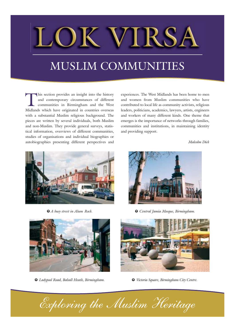#### MUSLIM COMMUNITIES

his section provides an insight into the history<br>and contemporary circumstances of different<br>communities in Birmingham and the West<br>Midlands which have originated in countries overseas and contemporary circumstances of different communities in Birmingham and the West Midlands which have originated in countries overseas with a substantial Muslim religious background. The pieces are written by several individuals, both Muslim and non-Muslim. They provide general surveys, statistical information, overviews of different communities, studies of organisations and individual biographies or autobiographies presenting different perspectives and

experiences. The West Midlands has been home to men and women from Muslim communities who have contributed to local life as community activists, religious leaders, politicians, academics, lawyers, artists, engineers and workers of many different kinds. One theme that emerges is the importance of networks through families, communities and institutions, in maintaining identity and providing support.

*Malcolm Dick*



**à** *A busy street in Alum Rock.*



**à** *Central Jamia Mosque, Birmingham.*



**à** *Ladypool Road, Balsall Heath, Birmingham.*



**à** *Victoria Square, Birmingham City Centre.*

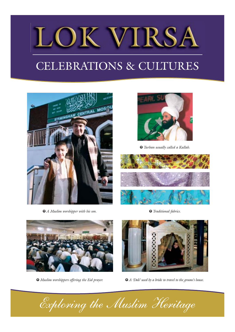### CELEBRATIONS & CULTURES



**à** *A Muslim worshipper with his son.*



**à** *Turban usually called a Kullah.*



**à** *Traditional fabrics.*



**à** *Muslim worshippers offering the Eid prayer.*



**à** *A 'Doli' used by a bride to travel to the groom's house.*

*Exploring the Muslim Heritage*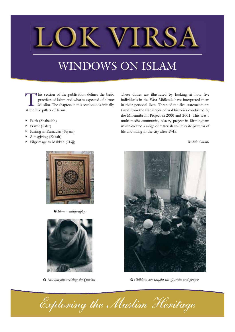### WINDOWS ON ISLAM

This section of the publication defines the basic<br>practices of Islam and what is expected of a true<br>Muslim. The chapters in this section look initially<br>at the five pillars of Islam: practices of Islam and what is expected of a true Muslim. The chapters in this section look initially at the five pillars of Islam:

- **Ô** Faith (Shahadah)
- **Ô** Prayer (Salat)
- **Ô** Fasting in Ramadan (Siyam)
- **Ô** Almsgiving (Zakah)
- **Ô** Pilgrimage to Makkah (Hajj)



**à** *Islamic calligraphy.*



**à** *Muslim girl reciting the Qur'ân.*

These duties are illustrated by looking at how five individuals in the West Midlands have interpreted them in their personal lives. Three of the five statements are taken from the transcripts of oral histories conducted by the Millennibrum Project in 2000 and 2001. This was a multi-media community history project in Birmingham which created a range of materials to illustrate patterns of life and living in the city after 1945.

*Verdah Chishti*



**à** *Children are taught the Qur'ân and prayer.*

*Exploring the Muslim Heritage*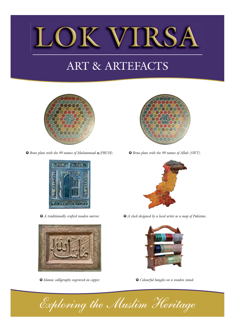

### ART & ARTEFACTS



**à** *Brass plate with the 99 names of Muhammad (PBUH).* **à** *Brass plate with the 99 names of Allah (SWT).*





**à** *Islamic calligraphy engraved on copper.*





**à** *A traditionally crafted wooden mirror.* **à** *A clock designed by a local artist as a map of Pakistan.*



**à** *Colourful bangles on a wooden stand.*

*Exploring the Muslim Heritage*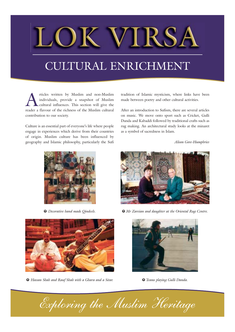#### CULTURAL ENRICHMENT

rticles written by Muslim and non-Muslim<br>individuals, provide a snapshot of Muslim<br>cultural influences. This section will give the<br>reader a flavour of the richness of the Muslim cultural individuals, provide a snapshot of Muslim cultural influences. This section will give the reader a flavour of the richness of the Muslim cultural contribution to our society.

Culture is an essential part of everyone's life where people engage in experiences which derive from their countries of origin. Muslim culture has been influenced by geography and Islamic philosophy, particularly the Sufi tradition of Islamic mysticism, where links have been made between poetry and other cultural activities.

After an introduction to Sufism, there are several articles on music. We move onto sport such as Cricket, Gulli Danda and Kabaddi followed by traditional crafts such as rug making. An architectural study looks at the minaret as a symbol of sacredness in Islam.

*Alison Gove-Humphries*





**à** *Hassan Shah and Rauf Shah with a Ghara and a Sitar.* **à** *Teams playing Gulli Danda.*



**à** *Decorative hand made Qindeels.* **à** *Mr Zareian and daughter at the Oriental Rug Centre.*



*Exploring the Muslim Heritage*